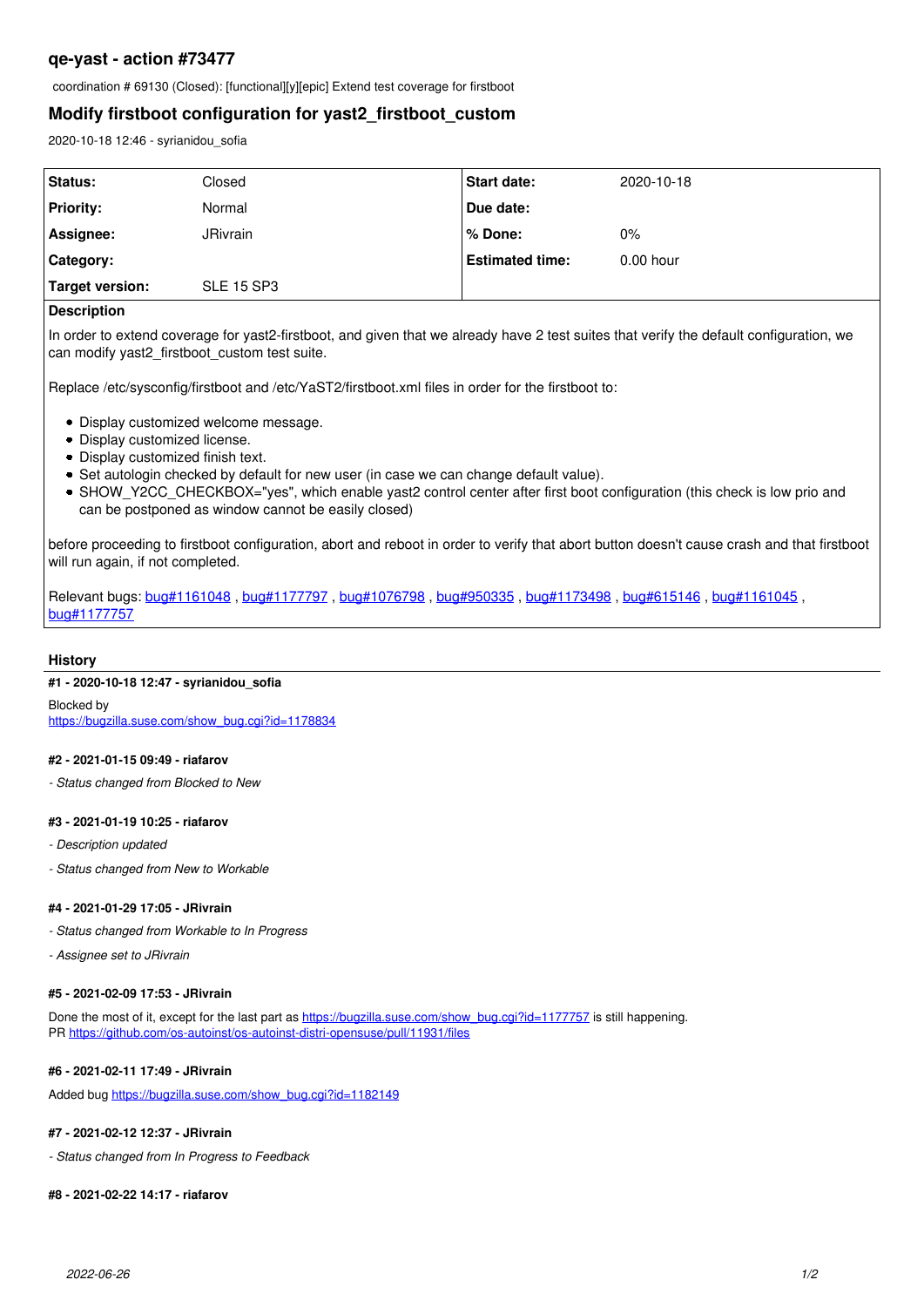# **qe-yast - action #73477**

coordination # 69130 (Closed): [functional][y][epic] Extend test coverage for firstboot

# **Modify firstboot configuration for yast2\_firstboot\_custom**

2020-10-18 12:46 - syrianidou\_sofia

| <b>Status:</b>   | Closed            | <b>Start date:</b>     | 2020-10-18  |
|------------------|-------------------|------------------------|-------------|
| <b>Priority:</b> | Normal            | Due date:              |             |
| Assignee:        | <b>JRivrain</b>   | l % Done:              | $0\%$       |
| Category:        |                   | <b>Estimated time:</b> | $0.00$ hour |
| Target version:  | <b>SLE 15 SP3</b> |                        |             |
|                  |                   |                        |             |

### **Description**

In order to extend coverage for yast2-firstboot, and given that we already have 2 test suites that verify the default configuration, we can modify yast2\_firstboot\_custom test suite.

Replace /etc/sysconfig/firstboot and /etc/YaST2/firstboot.xml files in order for the firstboot to:

- Display customized welcome message.
- Display customized license.
- Display customized finish text.
- Set autologin checked by default for new user (in case we can change default value).
- SHOW\_Y2CC\_CHECKBOX="yes", which enable yast2 control center after first boot configuration (this check is low prio and can be postponed as window cannot be easily closed)

before proceeding to firstboot configuration, abort and reboot in order to verify that abort button doesn't cause crash and that firstboot will run again, if not completed.

Relevant bugs: [bug#1161048](https://bugzilla.suse.com/show_bug.cgi?id=1161048) , [bug#1177797](https://bugzilla.suse.com/show_bug.cgi?id=1177797) , [bug#1076798](https://bugzilla.suse.com/show_bug.cgi?id=1076798) , [bug#950335](https://bugzilla.suse.com/show_bug.cgi?id=950335) , [bug#1173498](https://bugzilla.suse.com/show_bug.cgi?id=1173498) , [bug#615146](https://bugzilla.suse.com/show_bug.cgi?id=615146) , [bug#1161045](https://bugzilla.suse.com/show_bug.cgi?id=1161045) , [bug#1177757](https://bugzilla.suse.com/show_bug.cgi?id=1177757)

## **History**

## **#1 - 2020-10-18 12:47 - syrianidou\_sofia**

Blocked by [https://bugzilla.suse.com/show\\_bug.cgi?id=1178834](https://bugzilla.suse.com/show_bug.cgi?id=1178834)

#### **#2 - 2021-01-15 09:49 - riafarov**

*- Status changed from Blocked to New*

#### **#3 - 2021-01-19 10:25 - riafarov**

- *Description updated*
- *Status changed from New to Workable*

## **#4 - 2021-01-29 17:05 - JRivrain**

- *Status changed from Workable to In Progress*
- *Assignee set to JRivrain*

## **#5 - 2021-02-09 17:53 - JRivrain**

Done the most of it, except for the last part as [https://bugzilla.suse.com/show\\_bug.cgi?id=1177757](https://bugzilla.suse.com/show_bug.cgi?id=1177757) is still happening. PR <https://github.com/os-autoinst/os-autoinst-distri-opensuse/pull/11931/files>

#### **#6 - 2021-02-11 17:49 - JRivrain**

Added bug [https://bugzilla.suse.com/show\\_bug.cgi?id=1182149](https://bugzilla.suse.com/show_bug.cgi?id=1182149)

#### **#7 - 2021-02-12 12:37 - JRivrain**

*- Status changed from In Progress to Feedback*

## **#8 - 2021-02-22 14:17 - riafarov**